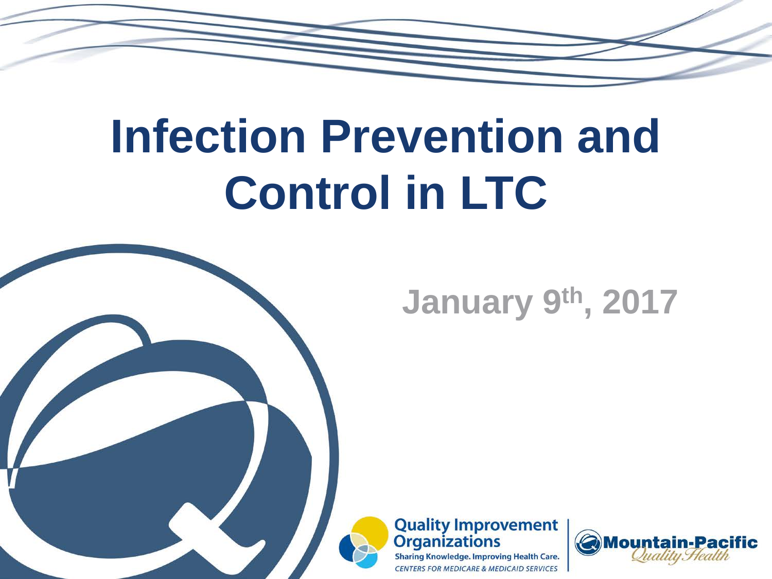# **Infection Prevention and Control in LTC**



### **January 9th, 2017**



**Sharing Knowledge. Improving Health Care. CENTERS FOR MEDICARE & MEDICAID SERVICES** 

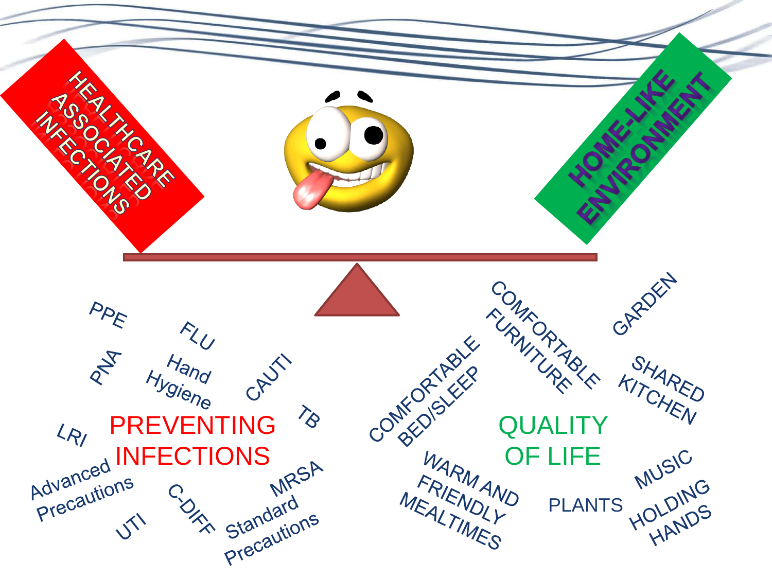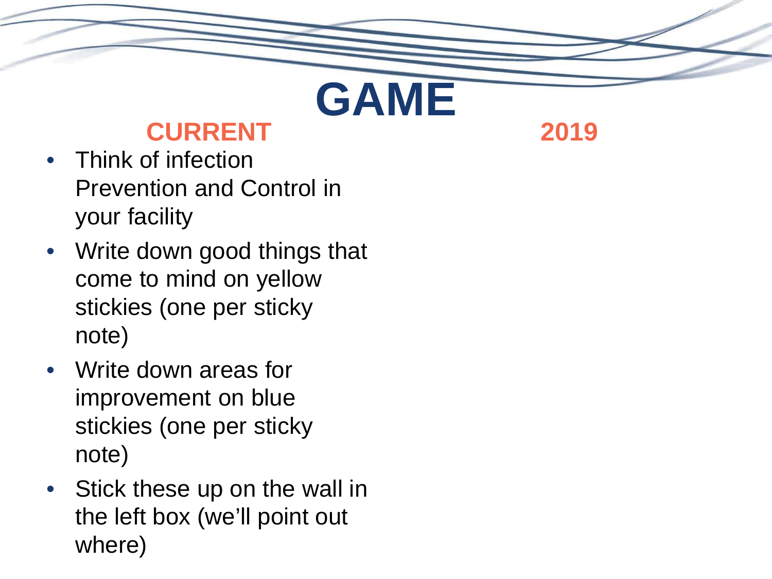### **CURRENT**

**GAME**

**2019**

- Think of infection Prevention and Control in your facility
- Write down good things that come to mind on yellow stickies (one per sticky note)
- Write down areas for improvement on blue stickies (one per sticky note)
- Stick these up on the wall in the left box (we'll point out where)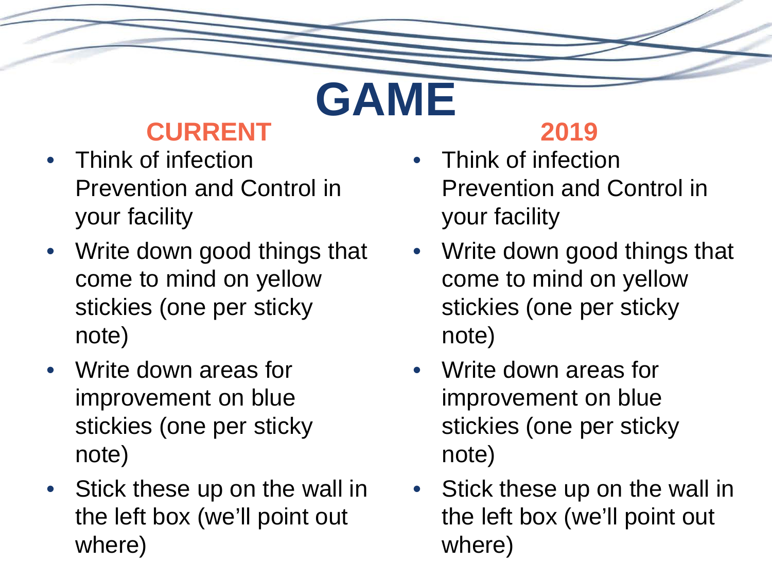### **CURRENT**

**GAME**

- Think of infection Prevention and Control in your facility
- Write down good things that come to mind on yellow stickies (one per sticky note)
- Write down areas for improvement on blue stickies (one per sticky note)
- Stick these up on the wall in the left box (we'll point out where)

#### **2019**

- Think of infection Prevention and Control in your facility
- Write down good things that come to mind on yellow stickies (one per sticky note)
- Write down areas for improvement on blue stickies (one per sticky note)
- Stick these up on the wall in the left box (we'll point out where)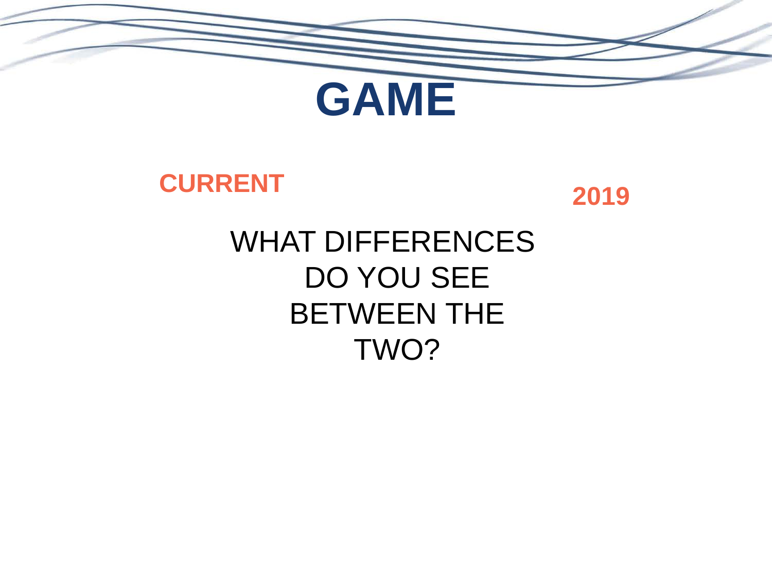

#### **CURRENT**



### WHAT DIFFERENCES DO YOU SEE BETWEEN THE TWO?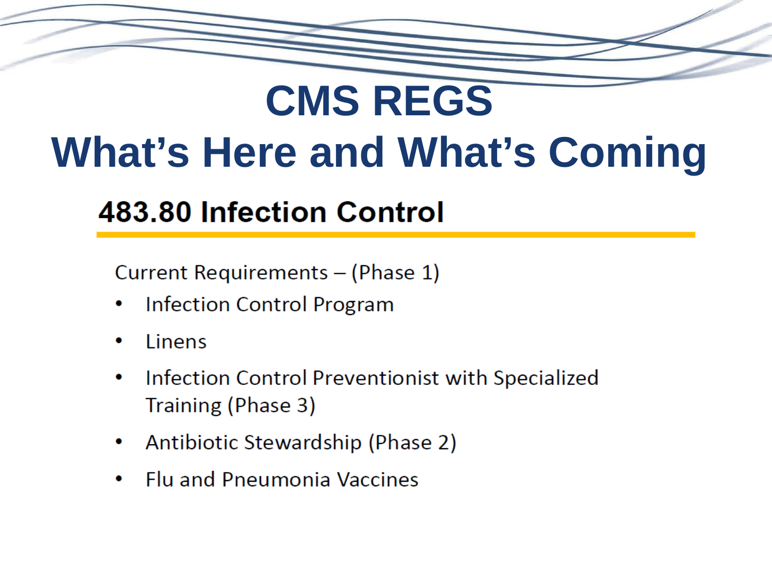# **CMS REGS What's Here and What's Coming**

### **483.80 Infection Control**

Current Requirements - (Phase 1)

- **Infection Control Program**
- Linens
- Infection Control Preventionist with Specialized  $\bullet$ Training (Phase 3)
- Antibiotic Stewardship (Phase 2)
- **Flu and Pneumonia Vaccines**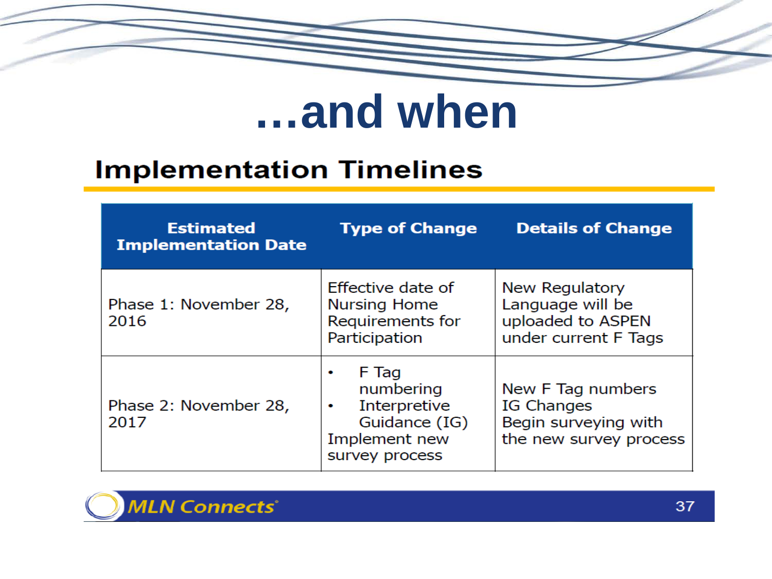

# ...and when

#### **Implementation Timelines**

| <b>Estimated</b><br><b>Implementation Date</b> | <b>Type of Change</b>                                                                       | <b>Details of Change</b>                                                          |
|------------------------------------------------|---------------------------------------------------------------------------------------------|-----------------------------------------------------------------------------------|
| Phase 1: November 28,<br>2016                  | Effective date of<br><b>Nursing Home</b><br>Requirements for<br>Participation               | New Regulatory<br>Language will be<br>uploaded to ASPEN<br>under current F Tags   |
| Phase 2: November 28,<br>2017                  | F Tag<br>numbering<br>Interpretive<br>۰<br>Guidance (IG)<br>Implement new<br>survey process | New F Tag numbers<br>IG Changes<br>Begin surveying with<br>the new survey process |

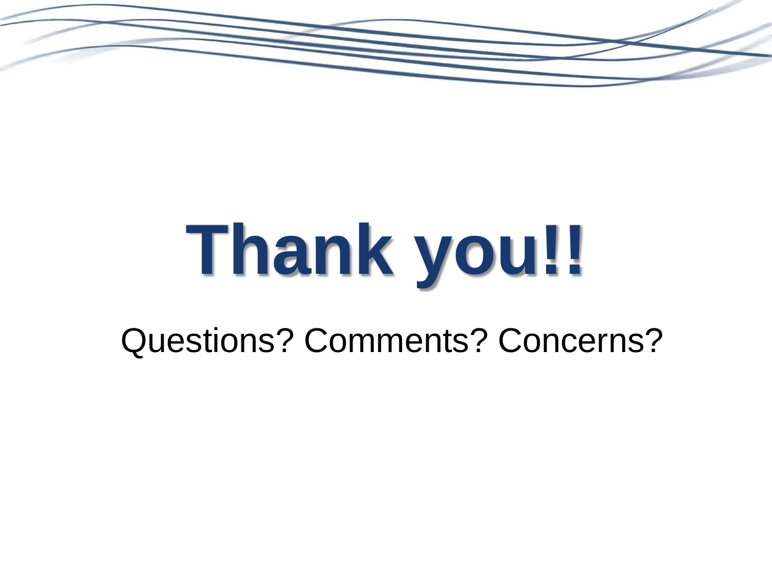

# **Thank you!!**

Questions? Comments? Concerns?